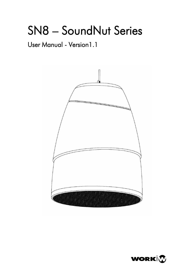# **SN8 - SoundNut Series**

# User Manual - Version1.1



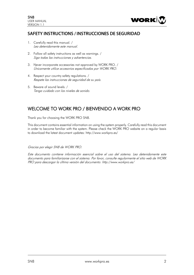

### **SAFETY INSTRUCTIONS / INSTRUCCIONES DE SEGURIDAD**

- 1. Carefully read this manual. / Lea detenidamente este manual.
- 2. Follow all safety instructions as well as warnings. / Siga todas las instrucciones y advertencias.
- 3. Never incorporate accessories not approved by WORK PRO. / Únicamente utilice accesorios especificados por WORK PRO.
- 4. Respect your country safety regulations. / Respete las instrucciones de seguridad de su país.
- 5. Beware of sound levels. / Tenga cuidado con los niveles de sonido.

# WELCOME TO WORK PRO / BIENVENIDO A WORK PRO

Thank you for choosing the WORK PRO SN8.

This document contains essential information on using the system properly. Carefully read this document in order to become familiar with the system. Please check the WORK PRO website on a regular basis to download the latest document updates:<http://www.workpro.es/>

Gracias por elegir SN8 de WORK PRO.

Este documento contiene información esencial sobre el uso del sistema. Lea detenidamente este documento para familiarizarse con el sistema. Por favor, consulte regularmente el sitio web de WORK PRO para descargar la última versión del documento: <http://www.workpro.es/>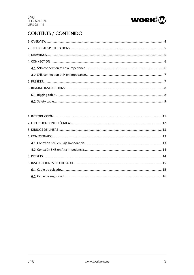

# **CONTENTS / CONTENIDO**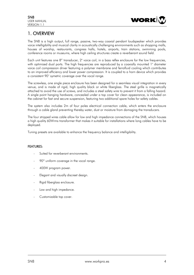# <span id="page-3-0"></span>1. OVERVIEW

The SN8 is a high output, full range, passive, two-way coaxial pendant loudspeaker which provides voice intelligibility and musical clarity in acoustically challenging environments such as shopping malls, houses of worship, restaurants, congress halls, hotels, airports, train stations, swimming pools, conference rooms or museums, where high ceiling structures create a reverberant sound field.

Each unit features one 8" transducer, 2" voice coil, in a bass reflex enclosure for the low frequencies, with optimized dual ports. The high frequencies are reproduced by a coaxially mounted 1" diameter voice coil compression driver featuring a polymer membrane and ferrofluid cooling which contributes to an improved efficiency and lower power compression. It is coupled to a horn device which provides a consistent 90° symetric coverage over the vocal range.

The screwless, one single piece enclosure has been designed for a seamless visual integration in every venue, and is made of rigid, high quality black or white fiberglass. The steel grille is magnetically attached to avoid the use of screws, and includes a steel safety wire to prevent it from a falling hazard. A single point hanging hardware, concealed under a top cover for clean appearance, is included on the cabinet for fast and secure suspension, featuring two additional spare holes for safety cables.

The system also includes 2m of four poles electrical connection cable, which enters the enclosure through a cable gland preventing thereby water, dust or moisture from damaging the transducers.

The four stripped wires cable allow for low and high impedance connections of the SN8, which houses a high quality 60Wrms transformer that makes it suitable for installations where long cables have to be deployed.

Tuning presets are available to enhance the frequency balance and intelligibility.

#### FEATURES:

- Suited for reverberant environments.
- 90° uniform coverage in the vocal range.
- 400W program power.
- Elegant and visually discreet design.
- Rigid fiberglass enclosure.
- Low and high impedance.
- Customizable top cover.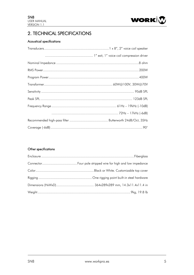

# <span id="page-4-0"></span>2. TECHNICAL SPECIFICATIONS

## Acoustical specifications

#### Other specifications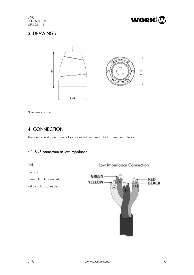

## <span id="page-5-0"></span>3. DRAWINGS



\*Dimensions in mm.

## <span id="page-5-1"></span>4. CONNECTION

The four pole stripped wire colors are as follows: Red, Black, Green and Yellow.

#### <span id="page-5-2"></span>4.1. SN8 connection at Low Impedance

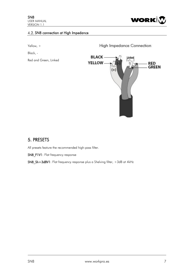

# <span id="page-6-0"></span>4.2. SN8 connection at High Impedance

Yellow, +

Black, -

Red and Green, Linked

High Impedance Connection



## <span id="page-6-1"></span>5. PRESETS

All presets feature the recommended high-pass filter.

SN8\_F1V1: Flat frequency response

SN8 Sh+3dBV1: Flat frequency response plus a Shelving filter, +3dB at 4kHz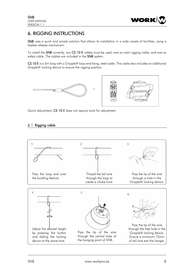# <span id="page-7-0"></span>6. RIGGING INSTRUCTIONS

SN8 uses a quick and simple solution that allows its installation in a wide variety of facilities, using a keyless release mechanism.

To install the SN8 correctly, two CS 10 E cables must be used, one as main rigging cable, and one as safety cable. The cables are included in the SN8 system.

CS 10 E is a 5m long with a Gripple® loop end fixing, steel cable. The cable also includes an additional Gripple® locking device to ensure the rigging position.





Quick adjustment, CS 10 E does not require tools for adjustment.

#### <span id="page-7-1"></span>6.1. Rigging cable

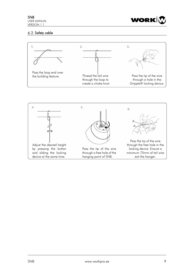

#### <span id="page-8-0"></span>6.2. Safety cable

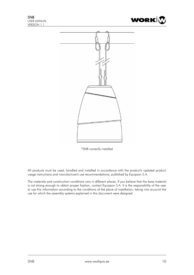



\*SN8 correctly installed

All products must be used, handled and installed in accordance with the product's updated product usage instructions and manufacturer's use recommendations, published by Equipson S.A.

The materials and construction conditions vary in different places. If you believe that the base material is not strong enough to obtain proper fixation, contact Equipson S.A. It is the responsibility of the user to use this information according to the conditions of the place of installation, taking into account the use for which the assembly systems explained in this document were designed.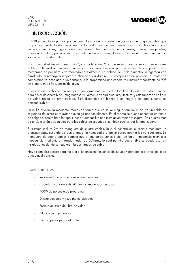# <span id="page-10-0"></span>1. INTRODUCCIÓN

El SN8 es un altavoz pasivo tipo "pendant". Es un sistema coaxial, de dos vías y de rango completo que proporciona inteligibilidad de palabra y claridad musical en entornos acústicos complejos tales como centros comerciales, lugares de culto, restaurantes, palacios de congresos, hoteles, aeropuertos, estaciones de tren, piscinas, salas de conferencias o museos, donde los techos altos crean un campo sonoro muy reverberante.

Cada unidad utiliza un altavoz de 8", con bobina de 2", en un recinto bass reflex con resonadores dobles optimizados. Las altas frecuencias son reproducidas por un motor de compresión con membrana de polímero y va montado coaxialmente. La bobina de 1" de diámetro, refrigerada con ferrofluido, contribuye a mejorar la eficiencia y a disminuir la compresión de potencia. El motor de compresión va acoplado a un difusor que le proporciona una cobertura simétrica y constante de 90º en el margen de frecuencias de la voz.

El recinto está hecho de una sola pieza, de forma que no quedan tornillos a la vista. Ha sido diseñado para pasar desapercibido, integrándose visualmente en cualquier arquitectura, y está fabricado en fibra de vidrio rígida de gran calidad. Está disponible en blanco y en negro y la tapa superior es personalizable.

La rejilla está unida mediante imanes de forma que no se ve ningún tornillo, e incluye un cable de seguridad de acero para evitar que caiga accidentalmente. En el recinto se puede encontrar un punto de colgado, oculto bajo la tapa superior, que facilita una instalación rápida y segura. Dos puntos más de anclaje están disponibles para los cables de seguridad, también ocultos por la tapa superior.

El sistema incluye 2m de manguera de cuatro cables, la cual penetra en el recinto mediante un prensaestopas, evitando así que el agua, la humedad o el polvo perjudiquen a los transductores. La manguera de cuatro cables permite que el equipo se conecte bien en baja impedancia o en alta impedancia mediante un transformador de 60Wrms, lo cual permite que el SN8 se pueda usar en instalaciones donde se requieran largas tiradas de cable.

Hay disponibles presets para mejorar el balance en frecuencia del equipo y para ganar en inteligibilidad a medias distancias.

#### CARACTERÍSTICAS:

- Recomendado para entornos reverberantes.
- Cobertura constante de 90° en las frecuencias de la voz.
- 400W de potencia de programa.
- Diseño elegante y visualmente discreto.
- Recinto acústico de fibra de vidrio.
- Alta y baja impedancia.
- Tapa superior personalizable.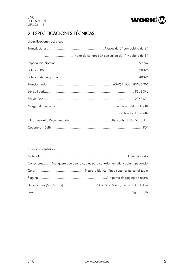

# <span id="page-11-0"></span>2. ESPECIFICACIONES TÉCNICAS

#### Especificaciones acústicas

| Motor de compresión con salida de 1" y bobina de 1" |
|-----------------------------------------------------|
|                                                     |
|                                                     |
|                                                     |
|                                                     |
|                                                     |
|                                                     |
|                                                     |
|                                                     |
|                                                     |
|                                                     |

#### Otras características

| Conectores  Manguera con cuatro cables para conexión en alta y baja impedancia |
|--------------------------------------------------------------------------------|
|                                                                                |
|                                                                                |
|                                                                                |
|                                                                                |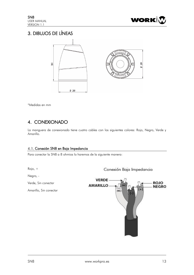

# <span id="page-12-0"></span>3. DIBUJOS DE LÍNEAS



\*Medidas en mm

## <span id="page-12-1"></span>4. CONEXIONADO

La manguera de conexionado tiene cuatro cables con los siguientes colores: Rojo, Negro, Verde y Amarillo.

#### <span id="page-12-2"></span>4.1. Conexión SN8 en Baja Impedancia

Para conectar la SN8 a 8 ohmios lo haremos de la siguiente manera:

Rojo, +

Negro, -

Verde, Sin conectar

Amarillo, Sin conectar

Conexión Baja Impedancia

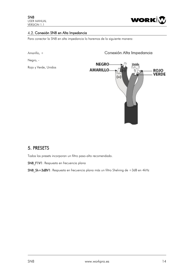

#### <span id="page-13-0"></span>4.2. Conexión SN8 en Alta Impedancia

Para conectar la SN8 en alta impedancia lo haremos de la siguiente manera:

Amarillo, +

Negro, -

Rojo y Verde, Unidos

Conexión Alta Impedancia



## <span id="page-13-1"></span>5. PRESETS

Todos los presets incorporan un filtro paso-alto recomendado.

SN8\_F1V1: Respuesta en frecuencia plana

SN8 Sh+3dBV1: Respuesta en frecuencia plana más un filtro Shelving de +3dB en 4kHz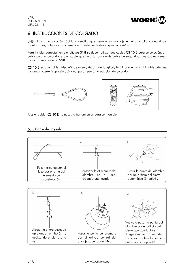# <span id="page-14-0"></span>6. INSTRUCCIONES DE COLGADO

SN8 utiliza una solución rápida y sencilla que permite su montaje en una amplia variedad de instalaciones, utilizando un cierre con un sistema de desbloqueo automático.

Para instalar correctamente el altavoz SN8 se deben utilizar dos cables CS 10 E para su sujeción, un cable para el colgado, y otro cable que hará la función de cable de seguridad. Los cables vienen incluidos en el sistema SN8.

CS 10 E es una cable Gripple® de acero, de 5m de longitud, terminado en lazo. El cable además incluye un cierre Gripple® adicional para segurar la posición de colgado.



Ajuste rápido, CS 10 E no necesita herramientas para su montaje.

#### <span id="page-14-1"></span>6.1. Cable de colgado

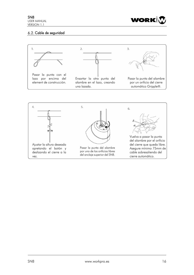

#### <span id="page-15-0"></span>6.2. Cable de seguridad

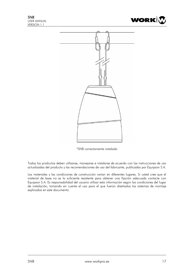



\*SN8 correctamente instalado

Todos los productos deben utilizarse, manejarse e instalarse de acuerdo con las instrucciones de uso actualizadas del producto y las recomendaciones de uso del fabricante, publicadas por Equipson S.A.

Los materiales y las condiciones de construcción varían en diferentes lugares. Si usted cree que el material de base no es lo suficiente resistente para obtener una fijación adecuada contacte con Equipson S.A. Es responsabilidad del usuario utilizar esta información según las condiciones del lugar de instalación, tomando en cuenta el uso para el que fueron diseñados los sistemas de montaje explicados en este documento.